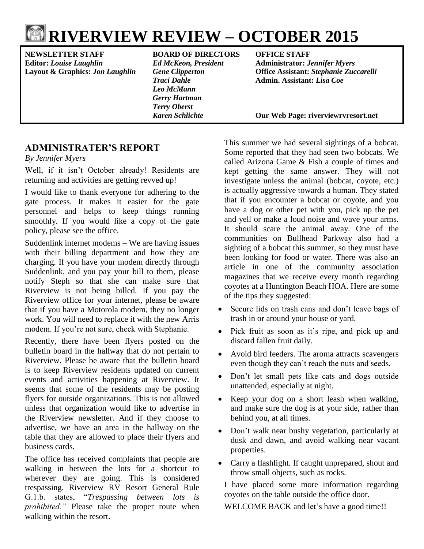# **RIVERVIEW REVIEW – OCTOBER 2015**

**Editor:** *Louise Laughlin Ed McKeon, President* **Administrator:** *Jennifer Myers*

#### **NEWSLETTER STAFF BOARD OF DIRECTORS OFFICE STAFF**

*Leo McMann Gerry Hartman Terry Oberst*

**Layout & Graphics:** *Jon Laughlin Gene Clipperton* **Office Assistant:** *Stephanie Zuccarelli Traci Dahle* **Admin. Assistant:** *Lisa Coe*

*Karen Schlichte* **Our Web Page: riverviewrvresort.net**

# **ADMINISTRATER'S REPORT**

*By Jennifer Myers*

Well, if it isn't October already! Residents are returning and activities are getting revved up!

I would like to thank everyone for adhering to the gate process. It makes it easier for the gate personnel and helps to keep things running smoothly. If you would like a copy of the gate policy, please see the office.

Suddenlink internet modems – We are having issues with their billing department and how they are charging. If you have your modem directly through Suddenlink, and you pay your bill to them, please notify Steph so that she can make sure that Riverview is not being billed. If you pay the Riverview office for your internet, please be aware that if you have a Motorola modem, they no longer work. You will need to replace it with the new Arris modem. If you're not sure, check with Stephanie.

Recently, there have been flyers posted on the bulletin board in the hallway that do not pertain to Riverview. Please be aware that the bulletin board is to keep Riverview residents updated on current events and activities happening at Riverview. It seems that some of the residents may be posting flyers for outside organizations. This is not allowed unless that organization would like to advertise in the Riverview newsletter. And if they choose to advertise, we have an area in the hallway on the table that they are allowed to place their flyers and business cards.

The office has received complaints that people are walking in between the lots for a shortcut to wherever they are going. This is considered trespassing. Riverview RV Resort General Rule G.1.b. states, "*Trespassing between lots is prohibited."* Please take the proper route when walking within the resort.

This summer we had several sightings of a bobcat. Some reported that they had seen two bobcats. We called Arizona Game & Fish a couple of times and kept getting the same answer. They will not investigate unless the animal (bobcat, coyote, etc.) is actually aggressive towards a human. They stated that if you encounter a bobcat or coyote, and you have a dog or other pet with you, pick up the pet and yell or make a loud noise and wave your arms. It should scare the animal away. One of the communities on Bullhead Parkway also had a sighting of a bobcat this summer, so they must have been looking for food or water. There was also an article in one of the community association magazines that we receive every month regarding coyotes at a Huntington Beach HOA. Here are some of the tips they suggested:

- Secure lids on trash cans and don't leave bags of trash in or around your house or yard.
- Pick fruit as soon as it's ripe, and pick up and discard fallen fruit daily.
- Avoid bird feeders. The aroma attracts scavengers even though they can't reach the nuts and seeds.
- Don't let small pets like cats and dogs outside unattended, especially at night.
- Keep your dog on a short leash when walking, and make sure the dog is at your side, rather than behind you, at all times.
- Don't walk near bushy vegetation, particularly at dusk and dawn, and avoid walking near vacant properties.
- Carry a flashlight. If caught unprepared, shout and throw small objects, such as rocks.

I have placed some more information regarding coyotes on the table outside the office door.

WELCOME BACK and let's have a good time!!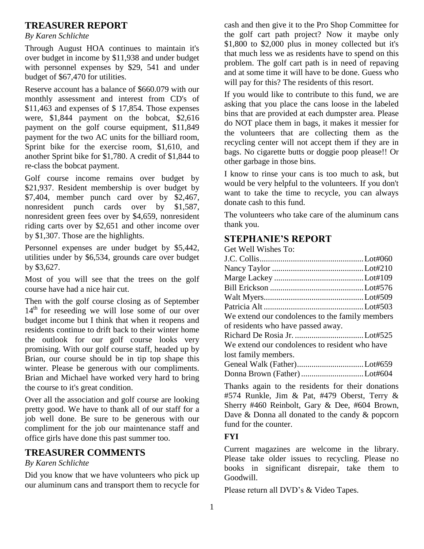# **TREASURER REPORT**

#### *By Karen Schlichte*

Through August HOA continues to maintain it's over budget in income by \$11,938 and under budget with personnel expenses by \$29, 541 and under budget of \$67,470 for utilities.

Reserve account has a balance of \$660.079 with our monthly assessment and interest from CD's of \$11,463 and expenses of \$ 17,854. Those expenses were, \$1,844 payment on the bobcat, \$2,616 payment on the golf course equipment, \$11,849 payment for the two AC units for the billiard room, Sprint bike for the exercise room, \$1,610, and another Sprint bike for \$1,780. A credit of \$1,844 to re-class the bobcat payment.

Golf course income remains over budget by \$21,937. Resident membership is over budget by \$7,404, member punch card over by \$2,467, nonresident punch cards over by \$1,587, nonresident green fees over by \$4,659, nonresident riding carts over by \$2,651 and other income over by \$1,307. Those are the highlights.

Personnel expenses are under budget by \$5,442, utilities under by \$6,534, grounds care over budget by \$3,627.

Most of you will see that the trees on the golf course have had a nice hair cut.

Then with the golf course closing as of September 14<sup>th</sup> for reseeding we will lose some of our over budget income but I think that when it reopens and residents continue to drift back to their winter home the outlook for our golf course looks very promising. With our golf course staff, headed up by Brian, our course should be in tip top shape this winter. Please be generous with our compliments. Brian and Michael have worked very hard to bring the course to it's great condition.

Over all the association and golf course are looking pretty good. We have to thank all of our staff for a job well done. Be sure to be generous with our compliment for the job our maintenance staff and office girls have done this past summer too.

### **TREASURER COMMENTS**

#### *By Karen Schlichte*

Did you know that we have volunteers who pick up our aluminum cans and transport them to recycle for cash and then give it to the Pro Shop Committee for the golf cart path project? Now it maybe only \$1,800 to \$2,000 plus in money collected but it's that much less we as residents have to spend on this problem. The golf cart path is in need of repaving and at some time it will have to be done. Guess who will pay for this? The residents of this resort.

If you would like to contribute to this fund, we are asking that you place the cans loose in the labeled bins that are provided at each dumpster area. Please do NOT place them in bags, it makes it messier for the volunteers that are collecting them as the recycling center will not accept them if they are in bags. No cigarette butts or doggie poop please!! Or other garbage in those bins.

I know to rinse your cans is too much to ask, but would be very helpful to the volunteers. If you don't want to take the time to recycle, you can always donate cash to this fund.

The volunteers who take care of the aluminum cans thank you.

#### **STEPHANIE'S REPORT**

| Get Well Wishes To:                             |  |
|-------------------------------------------------|--|
|                                                 |  |
|                                                 |  |
|                                                 |  |
|                                                 |  |
|                                                 |  |
|                                                 |  |
| We extend our condolences to the family members |  |
| of residents who have passed away.              |  |
|                                                 |  |
| We extend our condolences to resident who have  |  |
| lost family members.                            |  |
|                                                 |  |
| Donna Brown (Father) Lot#604                    |  |

Thanks again to the residents for their donations #574 Runkle, Jim & Pat, #479 Oberst, Terry & Sherry #460 Reinbolt, Gary & Dee, #604 Brown, Dave & Donna all donated to the candy & popcorn fund for the counter.

#### **FYI**

Current magazines are welcome in the library. Please take older issues to recycling. Please no books in significant disrepair, take them to Goodwill.

Please return all DVD's & Video Tapes.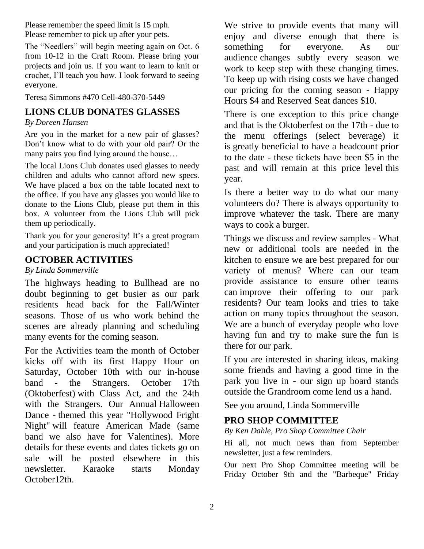Please remember the speed limit is 15 mph. Please remember to pick up after your pets.

The "Needlers" will begin meeting again on Oct. 6 from 10-12 in the Craft Room. Please bring your projects and join us. If you want to learn to knit or crochet, I'll teach you how. I look forward to seeing everyone.

Teresa Simmons #470 Cell-480-370-5449

# **LIONS CLUB DONATES GLASSES**

*By Doreen Hansen*

Are you in the market for a new pair of glasses? Don't know what to do with your old pair? Or the many pairs you find lying around the house…

The local Lions Club donates used glasses to needy children and adults who cannot afford new specs. We have placed a box on the table located next to the office. If you have any glasses you would like to donate to the Lions Club, please put them in this box. A volunteer from the Lions Club will pick them up periodically.

Thank you for your generosity! It's a great program and your participation is much appreciated!

### **OCTOBER ACTIVITIES**

#### *By Linda Sommerville*

The highways heading to Bullhead are no doubt beginning to get busier as our park residents head back for the Fall/Winter seasons. Those of us who work behind the scenes are already planning and scheduling many events for the coming season.

For the Activities team the month of October kicks off with its first Happy Hour on Saturday, October 10th with our in-house band - the Strangers. October 17th (Oktoberfest) with Class Act, and the 24th with the Strangers. Our Annual Halloween Dance - themed this year "Hollywood Fright Night" will feature American Made (same band we also have for Valentines). More details for these events and dates tickets go on sale will be posted elsewhere in this newsletter. Karaoke starts Monday October12th.

We strive to provide events that many will enjoy and diverse enough that there is something for everyone. As our audience changes subtly every season we work to keep step with these changing times. To keep up with rising costs we have changed our pricing for the coming season - Happy Hours \$4 and Reserved Seat dances \$10.

There is one exception to this price change and that is the Oktoberfest on the 17th - due to the menu offerings (select beverage) it is greatly beneficial to have a headcount prior to the date - these tickets have been \$5 in the past and will remain at this price level this year.

Is there a better way to do what our many volunteers do? There is always opportunity to improve whatever the task. There are many ways to cook a burger.

Things we discuss and review samples - What new or additional tools are needed in the kitchen to ensure we are best prepared for our variety of menus? Where can our team provide assistance to ensure other teams can improve their offering to our park residents? Our team looks and tries to take action on many topics throughout the season. We are a bunch of everyday people who love having fun and try to make sure the fun is there for our park.

If you are interested in sharing ideas, making some friends and having a good time in the park you live in - our sign up board stands outside the Grandroom come lend us a hand.

See you around, Linda Sommerville

# **PRO SHOP COMMITTEE**

#### *By Ken Dahle, Pro Shop Committee Chair*

Hi all, not much news than from September newsletter, just a few reminders.

Our next Pro Shop Committee meeting will be Friday October 9th and the "Barbeque" Friday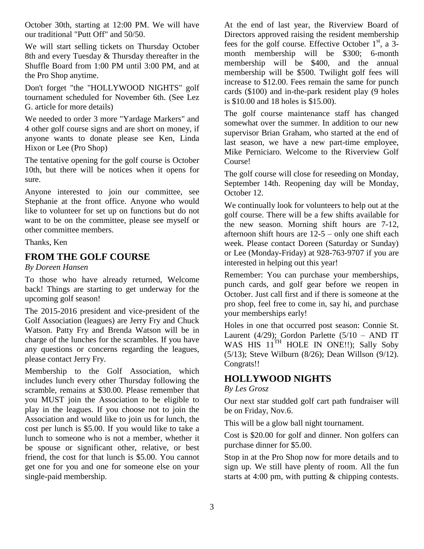October 30th, starting at 12:00 PM. We will have our traditional "Putt Off" and 50/50.

We will start selling tickets on Thursday October 8th and every Tuesday & Thursday thereafter in the Shuffle Board from 1:00 PM until 3:00 PM, and at the Pro Shop anytime.

Don't forget "the "HOLLYWOOD NIGHTS" golf tournament scheduled for November 6th. (See Lez G. article for more details)

We needed to order 3 more "Yardage Markers" and 4 other golf course signs and are short on money, if anyone wants to donate please see Ken, Linda Hixon or Lee (Pro Shop)

The tentative opening for the golf course is October 10th, but there will be notices when it opens for sure.

Anyone interested to join our committee, see Stephanie at the front office. Anyone who would like to volunteer for set up on functions but do not want to be on the committee, please see myself or other committee members.

Thanks, Ken

### **FROM THE GOLF COURSE**

*By Doreen Hansen*

To those who have already returned, Welcome back! Things are starting to get underway for the upcoming golf season!

The 2015-2016 president and vice-president of the Golf Association (leagues) are Jerry Fry and Chuck Watson. Patty Fry and Brenda Watson will be in charge of the lunches for the scrambles. If you have any questions or concerns regarding the leagues, please contact Jerry Fry.

Membership to the Golf Association, which includes lunch every other Thursday following the scramble, remains at \$30.00. Please remember that you MUST join the Association to be eligible to play in the leagues. If you choose not to join the Association and would like to join us for lunch, the cost per lunch is \$5.00. If you would like to take a lunch to someone who is not a member, whether it be spouse or significant other, relative, or best friend, the cost for that lunch is \$5.00. You cannot get one for you and one for someone else on your single-paid membership.

At the end of last year, the Riverview Board of Directors approved raising the resident membership fees for the golf course. Effective October  $1<sup>st</sup>$ , a 3month membership will be \$300; 6-month membership will be \$400, and the annual membership will be \$500. Twilight golf fees will increase to \$12.00. Fees remain the same for punch cards (\$100) and in-the-park resident play (9 holes is \$10.00 and 18 holes is \$15.00).

The golf course maintenance staff has changed somewhat over the summer. In addition to our new supervisor Brian Graham, who started at the end of last season, we have a new part-time employee, Mike Perniciaro. Welcome to the Riverview Golf Course!

The golf course will close for reseeding on Monday, September 14th. Reopening day will be Monday, October 12.

We continually look for volunteers to help out at the golf course. There will be a few shifts available for the new season. Morning shift hours are 7-12, afternoon shift hours are 12-5 – only one shift each week. Please contact Doreen (Saturday or Sunday) or Lee (Monday-Friday) at 928-763-9707 if you are interested in helping out this year!

Remember: You can purchase your memberships, punch cards, and golf gear before we reopen in October. Just call first and if there is someone at the pro shop, feel free to come in, say hi, and purchase your memberships early!

Holes in one that occurred post season: Connie St. Laurent (4/29); Gordon Parlette (5/10 – AND IT WAS HIS  $11<sup>TH</sup>$  HOLE IN ONE!!); Sally Soby (5/13); Steve Wilburn (8/26); Dean Willson (9/12). Congrats!!

### **HOLLYWOOD NIGHTS**

#### *By Les Grosz*

Our next star studded golf cart path fundraiser will be on Friday, Nov.6.

This will be a glow ball night tournament.

Cost is \$20.00 for golf and dinner. Non golfers can purchase dinner for \$5.00.

Stop in at the Pro Shop now for more details and to sign up. We still have plenty of room. All the fun starts at 4:00 pm, with putting & chipping contests.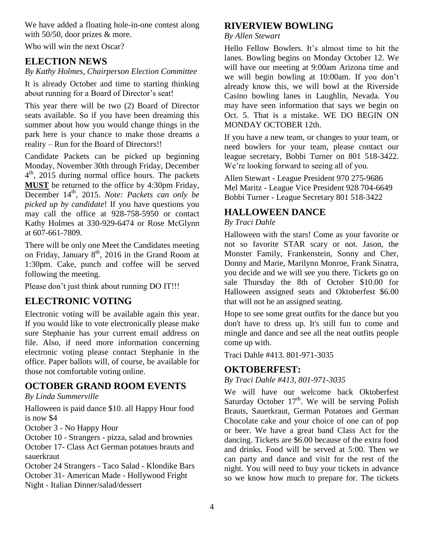We have added a floating hole-in-one contest along with 50/50, door prizes & more.

Who will win the next Oscar?

# **ELECTION NEWS**

#### *By Kathy Holmes, Chairperson Election Committee*

It is already October and time to starting thinking about running for a Board of Director's seat!

This year there will be two (2) Board of Director seats available. So if you have been dreaming this summer about how you would change things in the park here is your chance to make those dreams a reality – Run for the Board of Directors!!

Candidate Packets can be picked up beginning Monday, November 30th through Friday, December 4 th, 2015 during normal office hours. The packets **MUST** be returned to the office by 4:30pm Friday, December 14<sup>th</sup>, 2015. *Note: Packets can only be picked up by candidate*! If you have questions you may call the office at 928-758-5950 or contact Kathy Holmes at 330-929-6474 or Rose McGlynn at 607-661-7809.

There will be only one Meet the Candidates meeting on Friday, January  $8<sup>th</sup>$ , 2016 in the Grand Room at 1:30pm. Cake, punch and coffee will be served following the meeting.

Please don't just think about running DO IT!!!

# **ELECTRONIC VOTING**

Electronic voting will be available again this year. If you would like to vote electronically please make sure Stephanie has your current email address on file. Also, if need more information concerning electronic voting please contact Stephanie in the office. Paper ballots will, of course, be available for those not comfortable voting online.

# **OCTOBER GRAND ROOM EVENTS**

*By Linda Summerville*

Halloween is paid dance \$10. all Happy Hour food is now \$4

October 3 - No Happy Hour

October 10 - Strangers - pizza, salad and brownies October 17- Class Act German potatoes brauts and sauerkraut

October 24 Strangers - Taco Salad - Klondike Bars October 31- American Made - Hollywood Fright Night - Italian Dinner/salad/dessert

# **RIVERVIEW BOWLING**

#### *By Allen Stewart*

Hello Fellow Bowlers. It's almost time to hit the lanes. Bowling begins on Monday October 12. We will have our meeting at 9:00am Arizona time and we will begin bowling at 10:00am. If you don't already know this, we will bowl at the Riverside Casino bowling lanes in Laughlin, Nevada. You may have seen information that says we begin on Oct. 5. That is a mistake. WE DO BEGIN ON MONDAY OCTOBER 12th.

If you have a new team, or changes to your team, or need bowlers for your team, please contact our league secretary, Bobbi Turner on 801 518-3422. We're looking forward to seeing all of you.

Allen Stewart - League President 970 275-9686 Mel Maritz - League Vice President 928 704-6649 Bobbi Turner - League Secretary 801 518-3422

# **HALLOWEEN DANCE**

#### *By Traci Dahle*

Halloween with the stars! Come as your favorite or not so favorite STAR scary or not. Jason, the Monster Family, Frankenstein, Sonny and Cher, Donny and Marie, Marilynn Monroe, Frank Sinatra, you decide and we will see you there. Tickets go on sale Thursday the 8th of October \$10.00 for Halloween assigned seats and Oktoberfest \$6.00 that will not be an assigned seating.

Hope to see some great outfits for the dance but you don't have to dress up. It's still fun to come and mingle and dance and see all the neat outfits people come up with.

Traci Dahle #413. 801-971-3035

# **OKTOBERFEST:**

*By Traci Dahle #413, 801-971-3035*

We will have our welcome back Oktoberfest Saturday October  $17<sup>th</sup>$ . We will be serving Polish Brauts, Sauerkraut, German Potatoes and German Chocolate cake and your choice of one can of pop or beer. We have a great band Class Act for the dancing. Tickets are \$6.00 because of the extra food and drinks. Food will be served at 5:00. Then we can party and dance and visit for the rest of the night. You will need to buy your tickets in advance so we know how much to prepare for. The tickets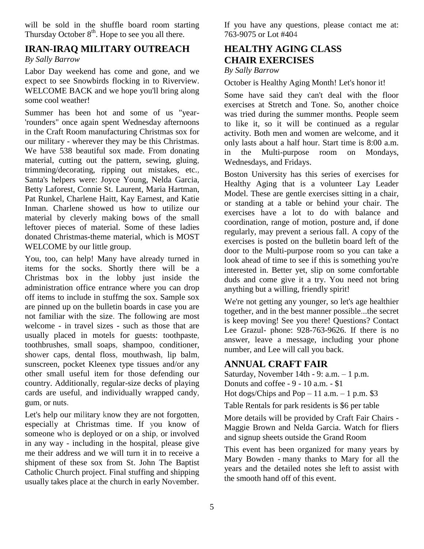will be sold in the shuffle board room starting Thursday October  $8<sup>th</sup>$ . Hope to see you all there.

#### **IRAN-IRAQ MILITARY OUTREACH**

*By Sally Barrow* 

Labor Day weekend has come and gone, and we expect to see Snowbirds flocking in to Riverview. WELCOME BACK and we hope you'll bring along some cool weather!

Summer has been hot and some of us "year- 'rounders" once again spent Wednesday afternoons in the Craft Room manufacturing Christmas sox for our military - wherever they may be this Christmas. We have 538 beautiful sox made. From donating material, cutting out the pattern, sewing, gluing, trimming/decorating, ripping out mistakes, etc., Santa's helpers were: Joyce Young, Nelda Garcia, Betty Laforest, Connie St. Laurent, Maria Hartman, Pat Runkel, Charlene Haitt, Kay Earnest, and Katie Inman. Charlene showed us how to utilize our material by cleverly making bows of the small leftover pieces of material. Some of these ladies donated Christmas-theme material, which is MOST WELCOME by our little group.

You, too, can help! Many have already turned in items for the socks. Shortly there will be a Christmas box in the lobby just inside the administration office entrance where you can drop off items to include in stuffmg the sox. Sample sox are pinned up on the bulletin boards in case you are not familiar with the size. The following are most welcome - in travel sizes - such as those that are usually placed in motels for guests: toothpaste, toothbrushes, small soaps, shampoo, conditioner, shower caps, dental floss, mouthwash, lip balm, sunscreen, pocket Kleenex type tissues and/or any other small useful item for those defending our country. Additionally, regular-size decks of playing cards are useful, and individually wrapped candy, gum, or nuts.

Let's help our military know they are not forgotten, especially at Christmas time. If you know of someone who is deployed or on a ship, or involved in any way - including in the hospital, please give me their address and we will turn it in to receive a shipment of these sox from St. John The Baptist Catholic Church project. Final stuffing and shipping usually takes place at the church in early November.

If you have any questions, please contact me at: 763-9075 or Lot #404

# **HEALTHY AGING CLASS CHAIR EXERCISES**

#### *By Sally Barrow*

October is Healthy Aging Month! Let's honor it!

Some have said they can't deal with the floor exercises at Stretch and Tone. So, another choice was tried during the summer months. People seem to like it, so it will be continued as a regular activity. Both men and women are welcome, and it only lasts about a half hour. Start time is 8:00 a.m. in the Multi-purpose room on Mondays, Wednesdays, and Fridays.

Boston University has this series of exercises for Healthy Aging that is a volunteer Lay Leader Model. These are gentle exercises sitting in a chair, or standing at a table or behind your chair. The exercises have a lot to do with balance and coordination, range of motion, posture and, if done regularly, may prevent a serious fall. A copy of the exercises is posted on the bulletin board left of the door to the Multi-purpose room so you can take a look ahead of time to see if this is something you're interested in. Better yet, slip on some comfortable duds and come give it a try. You need not bring anything but a willing, friendly spirit!

We're not getting any younger, so let's age healthier together, and in the best manner possible...the secret is keep moving! See you there! Questions? Contact Lee Grazul- phone: 928-763-9626. If there is no answer, leave a message, including your phone number, and Lee will call you back.

# **ANNUAL CRAFT FAIR**

Saturday, November 14th - 9:  $a.m. - 1 p.m.$ Donuts and coffee - 9 - 10 a.m. - \$1 Hot dogs/Chips and  $Pop-11$  a.m.  $-1$  p.m. \$3

Table Rentals for park residents is \$6 per table

More details will be provided by Craft Fair Chairs - Maggie Brown and Nelda Garcia. Watch for fliers and signup sheets outside the Grand Room

This event has been organized for many years by Mary Bowden - many thanks to Mary for all the years and the detailed notes she left to assist with the smooth hand off of this event.